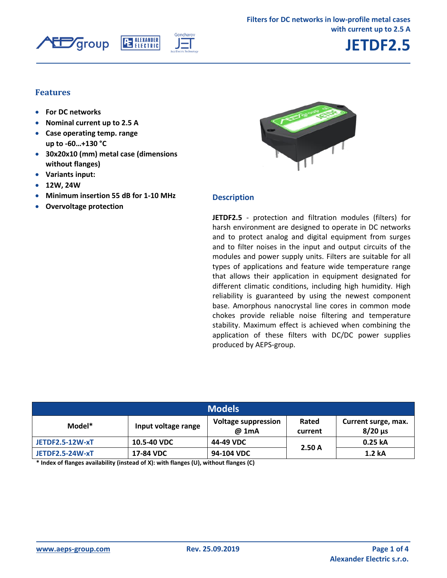



## **JETDF2.5**

#### **Features**

- **For DC networks**
- **Nominal current up to 2.5 A**
- **Case operating temp. range up to -60…+130 °C**
- **30x20x10 (mm) metal case (dimensions without flanges)**
- **Variants input:**
- **12W, 24W**
- **Minimum insertion 55 dB for 1-10 МHz**
- **Overvoltage protection**



#### **Description**

**JETDF2.5** - protection and filtration modules (filters) for harsh environment are designed to operate in DC networks and to protect analog and digital equipment from surges and to filter noises in the input and output circuits of the modules and power supply units. Filters are suitable for all types of applications and feature wide temperature range that allows their application in equipment designated for different climatic conditions, including high humidity. High reliability is guaranteed by using the newest component base. Amorphous nanocrystal line cores in common mode chokes provide reliable noise filtering and temperature stability. Maximum effect is achieved when combining the application of these filters with DC/DC power supplies produced by AEPS-group.

| <b>Models</b>          |                     |                                     |                  |                                       |  |  |  |
|------------------------|---------------------|-------------------------------------|------------------|---------------------------------------|--|--|--|
| Model*                 | Input voltage range | <b>Voltage suppression</b><br>@ 1mA | Rated<br>current | Current surge, max.<br>$8/20 \,\mu s$ |  |  |  |
| <b>JETDF2.5-12W-xT</b> | 10.5-40 VDC         | 44-49 VDC                           | 2.50A            | 0.25 kA                               |  |  |  |
| <b>JETDF2.5-24W-xT</b> | 17-84 VDC           | 94-104 VDC                          |                  | 1.2 kA                                |  |  |  |

**\* Index of flanges availability (instead of X): with flanges (U), without flanges (C)**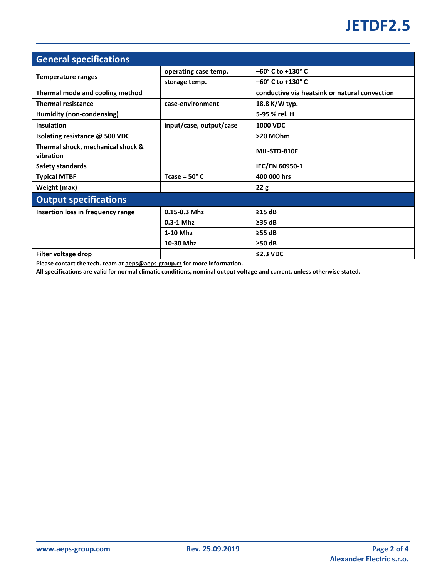# **JETDF2.5**

| <b>General specifications</b>                  |                         |                                               |  |  |  |
|------------------------------------------------|-------------------------|-----------------------------------------------|--|--|--|
|                                                | operating case temp.    | $-60^{\circ}$ C to +130° C                    |  |  |  |
| <b>Temperature ranges</b>                      | storage temp.           | $-60^{\circ}$ C to +130° C                    |  |  |  |
| Thermal mode and cooling method                |                         | conductive via heatsink or natural convection |  |  |  |
| <b>Thermal resistance</b>                      | case-environment        | 18.8 K/W typ.                                 |  |  |  |
| Humidity (non-condensing)                      |                         | 5-95 % rel. H                                 |  |  |  |
| Insulation                                     | input/case, output/case | <b>1000 VDC</b>                               |  |  |  |
| Isolating resistance @ 500 VDC                 |                         | >20 MOhm                                      |  |  |  |
| Thermal shock, mechanical shock &<br>vibration |                         | MIL-STD-810F                                  |  |  |  |
| Safety standards                               |                         | IEC/EN 60950-1                                |  |  |  |
| <b>Typical MTBF</b>                            | Tcase = $50^{\circ}$ C  | 400 000 hrs                                   |  |  |  |
| Weight (max)                                   |                         | 22g                                           |  |  |  |
| <b>Output specifications</b>                   |                         |                                               |  |  |  |
| Insertion loss in frequency range              | $0.15 - 0.3$ Mhz        | $\geq$ 15 dB                                  |  |  |  |
|                                                | $0.3-1$ Mhz             | $\geq$ 35 dB                                  |  |  |  |
|                                                | 1-10 Mhz                | $\geq$ 55 dB                                  |  |  |  |
|                                                | 10-30 Mhz               | $\geq$ 50 dB                                  |  |  |  |
| Filter voltage drop                            |                         | $\leq$ 2.3 VDC                                |  |  |  |

**Please contact the tech. team at aeps@aeps-group.cz for more information.**

**All specifications are valid for normal climatic conditions, nominal output voltage and current, unless otherwise stated.**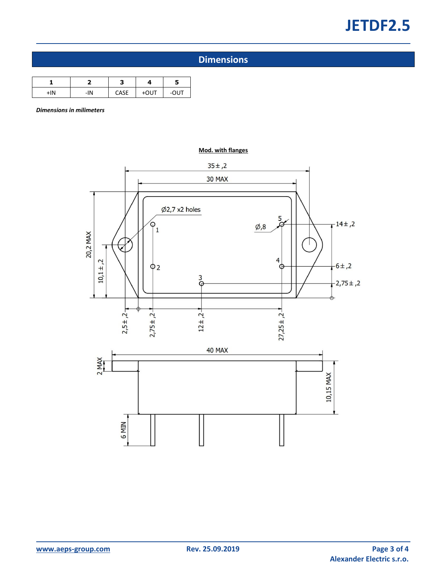# **JETDF2.5**

## **Dimensions**

| +IN | -IN | CASE | +OUT | -OUT |
|-----|-----|------|------|------|

*Dimensions in milimeters*



**Mod. with flanges**